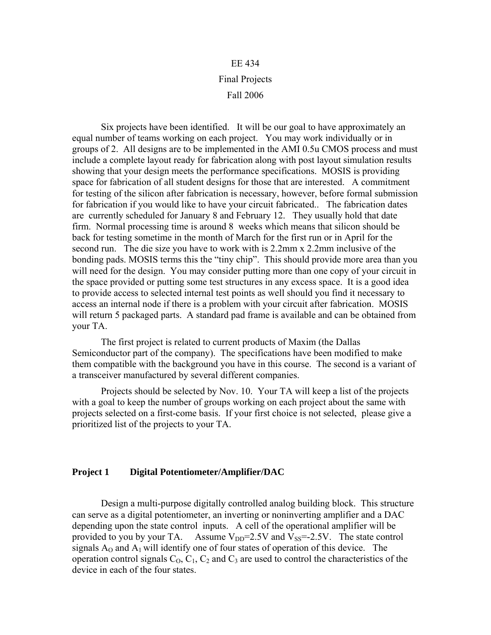# EE 434 Final Projects Fall 2006

 Six projects have been identified. It will be our goal to have approximately an equal number of teams working on each project. You may work individually or in groups of 2. All designs are to be implemented in the AMI 0.5u CMOS process and must include a complete layout ready for fabrication along with post layout simulation results showing that your design meets the performance specifications. MOSIS is providing space for fabrication of all student designs for those that are interested. A commitment for testing of the silicon after fabrication is necessary, however, before formal submission for fabrication if you would like to have your circuit fabricated.. The fabrication dates are currently scheduled for January 8 and February 12. They usually hold that date firm. Normal processing time is around 8 weeks which means that silicon should be back for testing sometime in the month of March for the first run or in April for the second run. The die size you have to work with is 2.2mm x 2.2mm inclusive of the bonding pads. MOSIS terms this the "tiny chip". This should provide more area than you will need for the design. You may consider putting more than one copy of your circuit in the space provided or putting some test structures in any excess space. It is a good idea to provide access to selected internal test points as well should you find it necessary to access an internal node if there is a problem with your circuit after fabrication. MOSIS will return 5 packaged parts. A standard pad frame is available and can be obtained from your TA.

 The first project is related to current products of Maxim (the Dallas Semiconductor part of the company). The specifications have been modified to make them compatible with the background you have in this course. The second is a variant of a transceiver manufactured by several different companies.

 Projects should be selected by Nov. 10. Your TA will keep a list of the projects with a goal to keep the number of groups working on each project about the same with projects selected on a first-come basis. If your first choice is not selected, please give a prioritized list of the projects to your TA.

### **Project 1 Digital Potentiometer/Amplifier/DAC**

 Design a multi-purpose digitally controlled analog building block. This structure can serve as a digital potentiometer, an inverting or noninverting amplifier and a DAC depending upon the state control inputs. A cell of the operational amplifier will be provided to you by your TA. Assume  $V_{DD} = 2.5V$  and  $V_{SS} = -2.5V$ . The state control signals  $A_0$  and  $A_1$  will identify one of four states of operation of this device. The operation control signals  $C_0$ ,  $C_1$ ,  $C_2$  and  $C_3$  are used to control the characteristics of the device in each of the four states.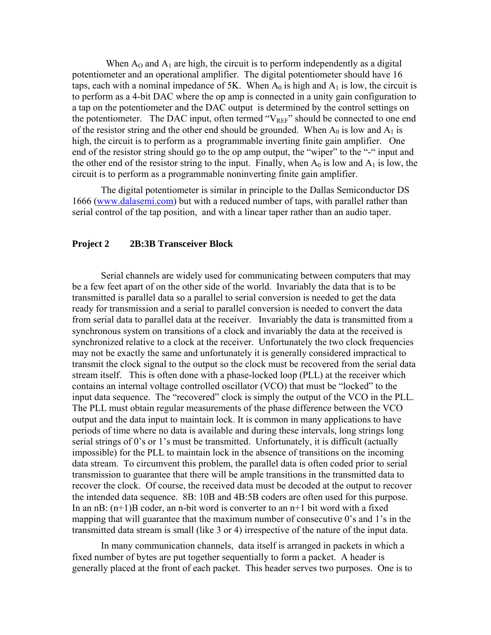When  $A_0$  and  $A_1$  are high, the circuit is to perform independently as a digital potentiometer and an operational amplifier. The digital potentiometer should have 16 taps, each with a nominal impedance of 5K. When  $A_0$  is high and  $A_1$  is low, the circuit is to perform as a 4-bit DAC where the op amp is connected in a unity gain configuration to a tap on the potentiometer and the DAC output is determined by the control settings on the potentiometer. The DAC input, often termed " $V_{REF}$ " should be connected to one end of the resistor string and the other end should be grounded. When  $A_0$  is low and  $A_1$  is high, the circuit is to perform as a programmable inverting finite gain amplifier. One end of the resistor string should go to the op amp output, the "wiper" to the "-" input and the other end of the resistor string to the input. Finally, when  $A_0$  is low and  $A_1$  is low, the circuit is to perform as a programmable noninverting finite gain amplifier.

 The digital potentiometer is similar in principle to the Dallas Semiconductor DS 1666 (www.dalasemi.com) but with a reduced number of taps, with parallel rather than serial control of the tap position, and with a linear taper rather than an audio taper.

### **Project 2 2B:3B Transceiver Block**

 Serial channels are widely used for communicating between computers that may be a few feet apart of on the other side of the world. Invariably the data that is to be transmitted is parallel data so a parallel to serial conversion is needed to get the data ready for transmission and a serial to parallel conversion is needed to convert the data from serial data to parallel data at the receiver. Invariably the data is transmitted from a synchronous system on transitions of a clock and invariably the data at the received is synchronized relative to a clock at the receiver. Unfortunately the two clock frequencies may not be exactly the same and unfortunately it is generally considered impractical to transmit the clock signal to the output so the clock must be recovered from the serial data stream itself. This is often done with a phase-locked loop (PLL) at the receiver which contains an internal voltage controlled oscillator (VCO) that must be "locked" to the input data sequence. The "recovered" clock is simply the output of the VCO in the PLL. The PLL must obtain regular measurements of the phase difference between the VCO output and the data input to maintain lock. It is common in many applications to have periods of time where no data is available and during these intervals, long strings long serial strings of 0's or 1's must be transmitted. Unfortunately, it is difficult (actually impossible) for the PLL to maintain lock in the absence of transitions on the incoming data stream. To circumvent this problem, the parallel data is often coded prior to serial transmission to guarantee that there will be ample transitions in the transmitted data to recover the clock. Of course, the received data must be decoded at the output to recover the intended data sequence. 8B: 10B and 4B:5B coders are often used for this purpose. In an  $nB$ :  $(n+1)B$  coder, an n-bit word is converter to an  $n+1$  bit word with a fixed mapping that will guarantee that the maximum number of consecutive 0's and 1's in the transmitted data stream is small (like 3 or 4) irrespective of the nature of the input data.

 In many communication channels, data itself is arranged in packets in which a fixed number of bytes are put together sequentially to form a packet. A header is generally placed at the front of each packet. This header serves two purposes. One is to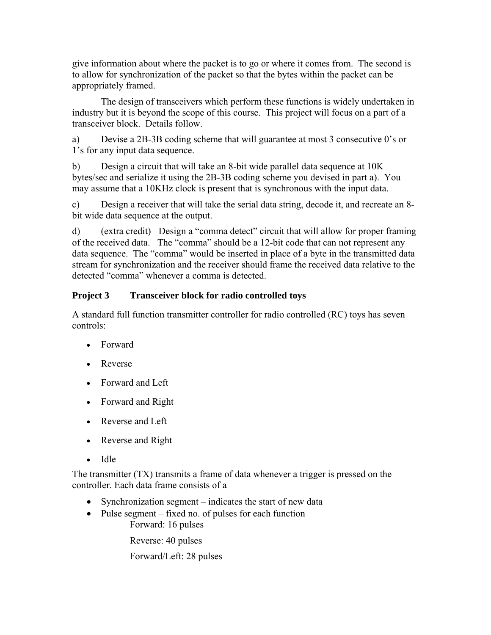give information about where the packet is to go or where it comes from. The second is to allow for synchronization of the packet so that the bytes within the packet can be appropriately framed.

 The design of transceivers which perform these functions is widely undertaken in industry but it is beyond the scope of this course. This project will focus on a part of a transceiver block. Details follow.

a) Devise a 2B-3B coding scheme that will guarantee at most 3 consecutive 0's or 1's for any input data sequence.

b) Design a circuit that will take an 8-bit wide parallel data sequence at 10K bytes/sec and serialize it using the 2B-3B coding scheme you devised in part a). You may assume that a 10KHz clock is present that is synchronous with the input data.

c) Design a receiver that will take the serial data string, decode it, and recreate an 8 bit wide data sequence at the output.

d) (extra credit) Design a "comma detect" circuit that will allow for proper framing of the received data. The "comma" should be a 12-bit code that can not represent any data sequence. The "comma" would be inserted in place of a byte in the transmitted data stream for synchronization and the receiver should frame the received data relative to the detected "comma" whenever a comma is detected.

## **Project 3 Transceiver block for radio controlled toys**

A standard full function transmitter controller for radio controlled (RC) toys has seven controls:

- Forward
- Reverse
- Forward and Left
- Forward and Right
- Reverse and Left
- Reverse and Right
- Idle

The transmitter  $(TX)$  transmits a frame of data whenever a trigger is pressed on the controller. Each data frame consists of a

- Synchronization segment indicates the start of new data
- Pulse segment fixed no. of pulses for each function Forward: 16 pulses

Reverse: 40 pulses

Forward/Left: 28 pulses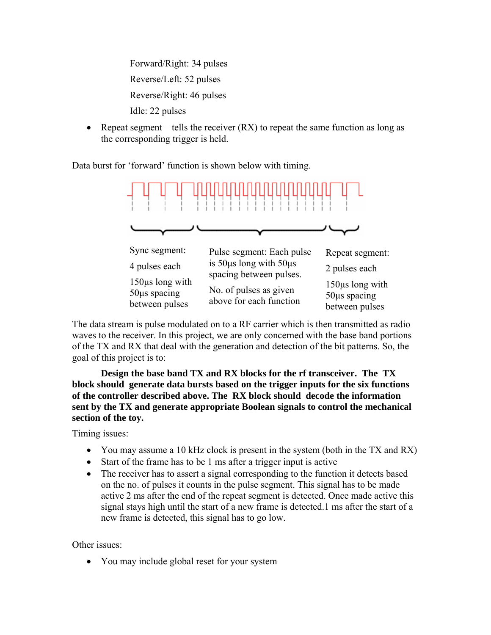Forward/Right: 34 pulses Reverse/Left: 52 pulses Reverse/Right: 46 pulses Idle: 22 pulses

• Repeat segment – tells the receiver  $(RX)$  to repeat the same function as long as the corresponding trigger is held.

Data burst for 'forward' function is shown below with timing.



The data stream is pulse modulated on to a RF carrier which is then transmitted as radio waves to the receiver. In this project, we are only concerned with the base band portions of the TX and RX that deal with the generation and detection of the bit patterns. So, the goal of this project is to:

**Design the base band TX and RX blocks for the rf transceiver. The TX block should generate data bursts based on the trigger inputs for the six functions of the controller described above. The RX block should decode the information sent by the TX and generate appropriate Boolean signals to control the mechanical section of the toy.** 

Timing issues:

- You may assume a 10 kHz clock is present in the system (both in the TX and RX)
- Start of the frame has to be 1 ms after a trigger input is active
- The receiver has to assert a signal corresponding to the function it detects based on the no. of pulses it counts in the pulse segment. This signal has to be made active 2 ms after the end of the repeat segment is detected. Once made active this signal stays high until the start of a new frame is detected.1 ms after the start of a new frame is detected, this signal has to go low.

Other issues:

• You may include global reset for your system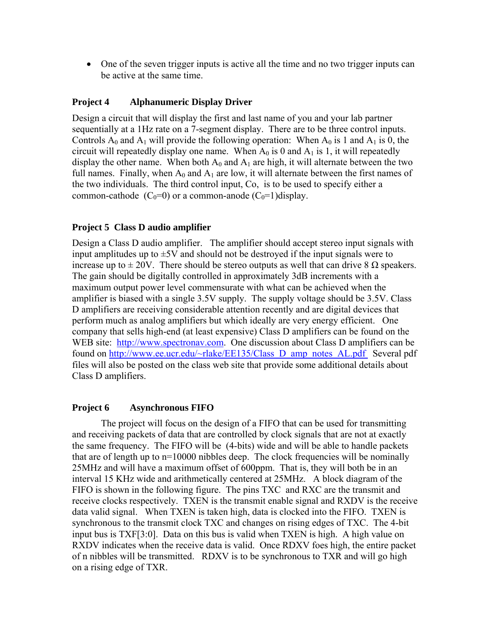• One of the seven trigger inputs is active all the time and no two trigger inputs can be active at the same time.

## **Project 4 Alphanumeric Display Driver**

Design a circuit that will display the first and last name of you and your lab partner sequentially at a 1Hz rate on a 7-segment display. There are to be three control inputs. Controls  $A_0$  and  $A_1$  will provide the following operation: When  $A_0$  is 1 and  $A_1$  is 0, the circuit will repeatedly display one name. When  $A_0$  is 0 and  $A_1$  is 1, it will repeatedly display the other name. When both  $A_0$  and  $A_1$  are high, it will alternate between the two full names. Finally, when  $A_0$  and  $A_1$  are low, it will alternate between the first names of the two individuals. The third control input, Co, is to be used to specify either a common-cathode  $(C_0=0)$  or a common-anode  $(C_0=1)$ display.

### **Project 5 Class D audio amplifier**

Design a Class D audio amplifier. The amplifier should accept stereo input signals with input amplitudes up to  $\pm$ 5V and should not be destroyed if the input signals were to increase up to  $\pm 20V$ . There should be stereo outputs as well that can drive 8  $\Omega$  speakers. The gain should be digitally controlled in approximately 3dB increments with a maximum output power level commensurate with what can be achieved when the amplifier is biased with a single 3.5V supply. The supply voltage should be 3.5V. Class D amplifiers are receiving considerable attention recently and are digital devices that perform much as analog amplifiers but which ideally are very energy efficient. One company that sells high-end (at least expensive) Class D amplifiers can be found on the WEB site: http://www.spectronav.com. One discussion about Class D amplifiers can be found on http://www.ee.ucr.edu/~rlake/EE135/Class D amp\_notes\_AL.pdf Several pdf files will also be posted on the class web site that provide some additional details about Class D amplifiers.

### **Project 6 Asynchronous FIFO**

 The project will focus on the design of a FIFO that can be used for transmitting and receiving packets of data that are controlled by clock signals that are not at exactly the same frequency. The FIFO will be (4-bits) wide and will be able to handle packets that are of length up to n=10000 nibbles deep. The clock frequencies will be nominally 25MHz and will have a maximum offset of 600ppm. That is, they will both be in an interval 15 KHz wide and arithmetically centered at 25MHz. A block diagram of the FIFO is shown in the following figure. The pins TXC and RXC are the transmit and receive clocks respectively. TXEN is the transmit enable signal and RXDV is the receive data valid signal. When TXEN is taken high, data is clocked into the FIFO. TXEN is synchronous to the transmit clock TXC and changes on rising edges of TXC. The 4-bit input bus is TXF[3:0]. Data on this bus is valid when TXEN is high. A high value on RXDV indicates when the receive data is valid. Once RDXV foes high, the entire packet of n nibbles will be transmitted. RDXV is to be synchronous to TXR and will go high on a rising edge of TXR.